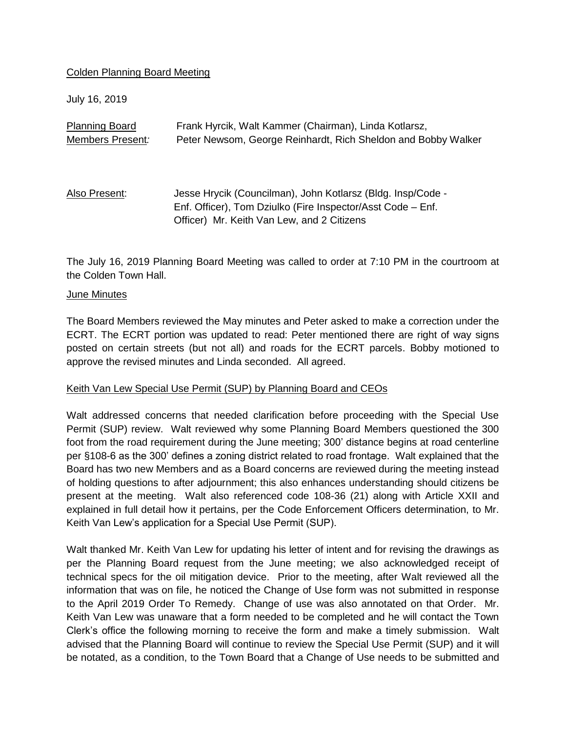## Colden Planning Board Meeting

July 16, 2019

| <b>Planning Board</b> | Frank Hyrcik, Walt Kammer (Chairman), Linda Kotlarsz,         |
|-----------------------|---------------------------------------------------------------|
| Members Present:      | Peter Newsom, George Reinhardt, Rich Sheldon and Bobby Walker |
|                       |                                                               |
|                       |                                                               |
| Also Present:         | Jesse Hrycik (Councilman), John Kotlarsz (Bldg. Insp/Code -   |
|                       | Enf. Officer), Tom Dziulko (Fire Inspector/Asst Code – Enf.   |
|                       | Officer) Mr. Keith Van Lew, and 2 Citizens                    |

The July 16, 2019 Planning Board Meeting was called to order at 7:10 PM in the courtroom at the Colden Town Hall.

#### June Minutes

The Board Members reviewed the May minutes and Peter asked to make a correction under the ECRT. The ECRT portion was updated to read: Peter mentioned there are right of way signs posted on certain streets (but not all) and roads for the ECRT parcels. Bobby motioned to approve the revised minutes and Linda seconded. All agreed.

## Keith Van Lew Special Use Permit (SUP) by Planning Board and CEOs

Walt addressed concerns that needed clarification before proceeding with the Special Use Permit (SUP) review. Walt reviewed why some Planning Board Members questioned the 300 foot from the road requirement during the June meeting; 300' distance begins at road centerline per §108-6 as the 300' defines a zoning district related to road frontage. Walt explained that the Board has two new Members and as a Board concerns are reviewed during the meeting instead of holding questions to after adjournment; this also enhances understanding should citizens be present at the meeting. Walt also referenced code 108-36 (21) along with Article XXII and explained in full detail how it pertains, per the Code Enforcement Officers determination, to Mr. Keith Van Lew's application for a Special Use Permit (SUP).

Walt thanked Mr. Keith Van Lew for updating his letter of intent and for revising the drawings as per the Planning Board request from the June meeting; we also acknowledged receipt of technical specs for the oil mitigation device. Prior to the meeting, after Walt reviewed all the information that was on file, he noticed the Change of Use form was not submitted in response to the April 2019 Order To Remedy. Change of use was also annotated on that Order. Mr. Keith Van Lew was unaware that a form needed to be completed and he will contact the Town Clerk's office the following morning to receive the form and make a timely submission. Walt advised that the Planning Board will continue to review the Special Use Permit (SUP) and it will be notated, as a condition, to the Town Board that a Change of Use needs to be submitted and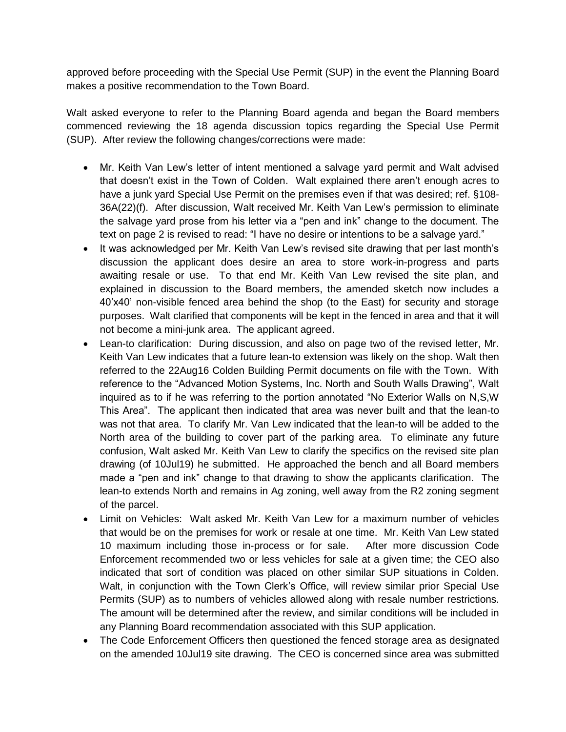approved before proceeding with the Special Use Permit (SUP) in the event the Planning Board makes a positive recommendation to the Town Board.

Walt asked everyone to refer to the Planning Board agenda and began the Board members commenced reviewing the 18 agenda discussion topics regarding the Special Use Permit (SUP). After review the following changes/corrections were made:

- Mr. Keith Van Lew's letter of intent mentioned a salvage yard permit and Walt advised that doesn't exist in the Town of Colden. Walt explained there aren't enough acres to have a junk yard Special Use Permit on the premises even if that was desired; ref. §108- 36A(22)(f). After discussion, Walt received Mr. Keith Van Lew's permission to eliminate the salvage yard prose from his letter via a "pen and ink" change to the document. The text on page 2 is revised to read: "I have no desire or intentions to be a salvage yard."
- It was acknowledged per Mr. Keith Van Lew's revised site drawing that per last month's discussion the applicant does desire an area to store work-in-progress and parts awaiting resale or use. To that end Mr. Keith Van Lew revised the site plan, and explained in discussion to the Board members, the amended sketch now includes a 40'x40' non-visible fenced area behind the shop (to the East) for security and storage purposes. Walt clarified that components will be kept in the fenced in area and that it will not become a mini-junk area. The applicant agreed.
- Lean-to clarification: During discussion, and also on page two of the revised letter, Mr. Keith Van Lew indicates that a future lean-to extension was likely on the shop. Walt then referred to the 22Aug16 Colden Building Permit documents on file with the Town. With reference to the "Advanced Motion Systems, Inc. North and South Walls Drawing", Walt inquired as to if he was referring to the portion annotated "No Exterior Walls on N,S,W This Area". The applicant then indicated that area was never built and that the lean-to was not that area. To clarify Mr. Van Lew indicated that the lean-to will be added to the North area of the building to cover part of the parking area. To eliminate any future confusion, Walt asked Mr. Keith Van Lew to clarify the specifics on the revised site plan drawing (of 10Jul19) he submitted. He approached the bench and all Board members made a "pen and ink" change to that drawing to show the applicants clarification. The lean-to extends North and remains in Ag zoning, well away from the R2 zoning segment of the parcel.
- Limit on Vehicles: Walt asked Mr. Keith Van Lew for a maximum number of vehicles that would be on the premises for work or resale at one time. Mr. Keith Van Lew stated 10 maximum including those in-process or for sale. After more discussion Code Enforcement recommended two or less vehicles for sale at a given time; the CEO also indicated that sort of condition was placed on other similar SUP situations in Colden. Walt, in conjunction with the Town Clerk's Office, will review similar prior Special Use Permits (SUP) as to numbers of vehicles allowed along with resale number restrictions. The amount will be determined after the review, and similar conditions will be included in any Planning Board recommendation associated with this SUP application.
- The Code Enforcement Officers then questioned the fenced storage area as designated on the amended 10Jul19 site drawing. The CEO is concerned since area was submitted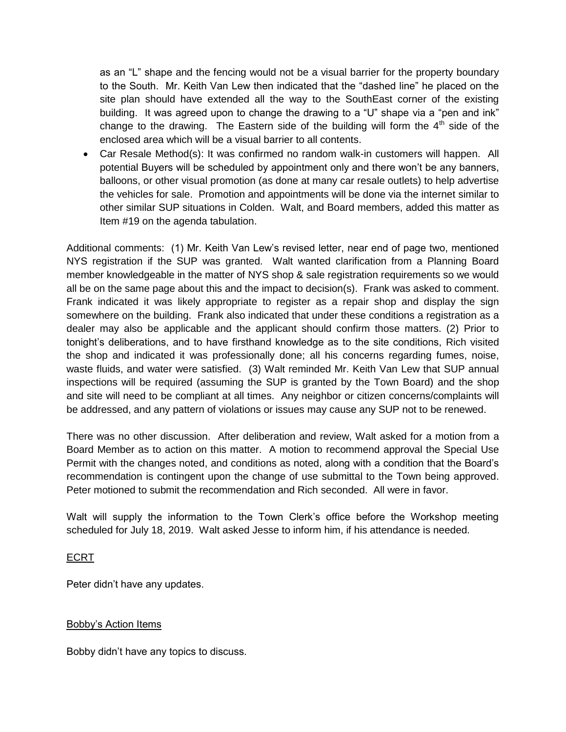as an "L" shape and the fencing would not be a visual barrier for the property boundary to the South. Mr. Keith Van Lew then indicated that the "dashed line" he placed on the site plan should have extended all the way to the SouthEast corner of the existing building. It was agreed upon to change the drawing to a "U" shape via a "pen and ink" change to the drawing. The Eastern side of the building will form the  $4<sup>th</sup>$  side of the enclosed area which will be a visual barrier to all contents.

 Car Resale Method(s): It was confirmed no random walk-in customers will happen. All potential Buyers will be scheduled by appointment only and there won't be any banners, balloons, or other visual promotion (as done at many car resale outlets) to help advertise the vehicles for sale. Promotion and appointments will be done via the internet similar to other similar SUP situations in Colden. Walt, and Board members, added this matter as Item #19 on the agenda tabulation.

Additional comments: (1) Mr. Keith Van Lew's revised letter, near end of page two, mentioned NYS registration if the SUP was granted. Walt wanted clarification from a Planning Board member knowledgeable in the matter of NYS shop & sale registration requirements so we would all be on the same page about this and the impact to decision(s). Frank was asked to comment. Frank indicated it was likely appropriate to register as a repair shop and display the sign somewhere on the building. Frank also indicated that under these conditions a registration as a dealer may also be applicable and the applicant should confirm those matters. (2) Prior to tonight's deliberations, and to have firsthand knowledge as to the site conditions, Rich visited the shop and indicated it was professionally done; all his concerns regarding fumes, noise, waste fluids, and water were satisfied. (3) Walt reminded Mr. Keith Van Lew that SUP annual inspections will be required (assuming the SUP is granted by the Town Board) and the shop and site will need to be compliant at all times. Any neighbor or citizen concerns/complaints will be addressed, and any pattern of violations or issues may cause any SUP not to be renewed.

There was no other discussion. After deliberation and review, Walt asked for a motion from a Board Member as to action on this matter. A motion to recommend approval the Special Use Permit with the changes noted, and conditions as noted, along with a condition that the Board's recommendation is contingent upon the change of use submittal to the Town being approved. Peter motioned to submit the recommendation and Rich seconded. All were in favor.

Walt will supply the information to the Town Clerk's office before the Workshop meeting scheduled for July 18, 2019. Walt asked Jesse to inform him, if his attendance is needed.

# ECRT

Peter didn't have any updates.

## Bobby's Action Items

Bobby didn't have any topics to discuss.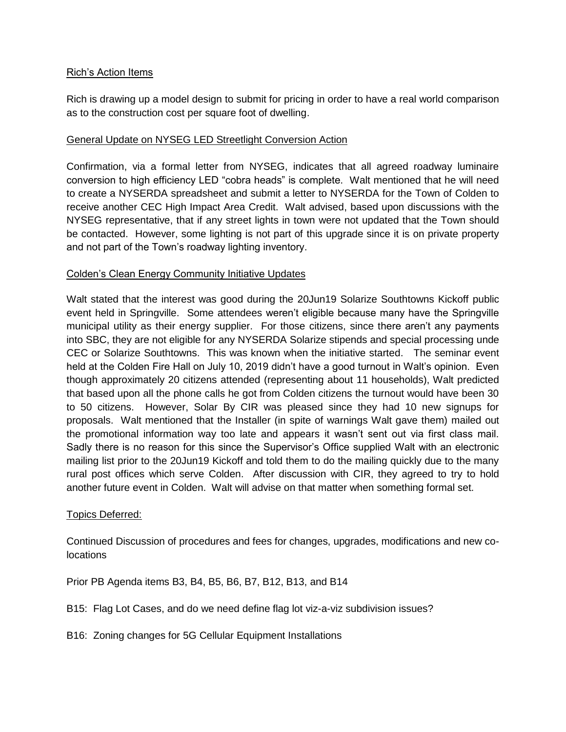## Rich's Action Items

Rich is drawing up a model design to submit for pricing in order to have a real world comparison as to the construction cost per square foot of dwelling.

## General Update on NYSEG LED Streetlight Conversion Action

Confirmation, via a formal letter from NYSEG, indicates that all agreed roadway luminaire conversion to high efficiency LED "cobra heads" is complete. Walt mentioned that he will need to create a NYSERDA spreadsheet and submit a letter to NYSERDA for the Town of Colden to receive another CEC High Impact Area Credit. Walt advised, based upon discussions with the NYSEG representative, that if any street lights in town were not updated that the Town should be contacted. However, some lighting is not part of this upgrade since it is on private property and not part of the Town's roadway lighting inventory.

## Colden's Clean Energy Community Initiative Updates

Walt stated that the interest was good during the 20Jun19 Solarize Southtowns Kickoff public event held in Springville. Some attendees weren't eligible because many have the Springville municipal utility as their energy supplier. For those citizens, since there aren't any payments into SBC, they are not eligible for any NYSERDA Solarize stipends and special processing unde CEC or Solarize Southtowns. This was known when the initiative started. The seminar event held at the Colden Fire Hall on July 10, 2019 didn't have a good turnout in Walt's opinion. Even though approximately 20 citizens attended (representing about 11 households), Walt predicted that based upon all the phone calls he got from Colden citizens the turnout would have been 30 to 50 citizens. However, Solar By CIR was pleased since they had 10 new signups for proposals. Walt mentioned that the Installer (in spite of warnings Walt gave them) mailed out the promotional information way too late and appears it wasn't sent out via first class mail. Sadly there is no reason for this since the Supervisor's Office supplied Walt with an electronic mailing list prior to the 20Jun19 Kickoff and told them to do the mailing quickly due to the many rural post offices which serve Colden. After discussion with CIR, they agreed to try to hold another future event in Colden. Walt will advise on that matter when something formal set.

## Topics Deferred:

Continued Discussion of procedures and fees for changes, upgrades, modifications and new colocations

Prior PB Agenda items B3, B4, B5, B6, B7, B12, B13, and B14

- B15: Flag Lot Cases, and do we need define flag lot viz-a-viz subdivision issues?
- B16: Zoning changes for 5G Cellular Equipment Installations